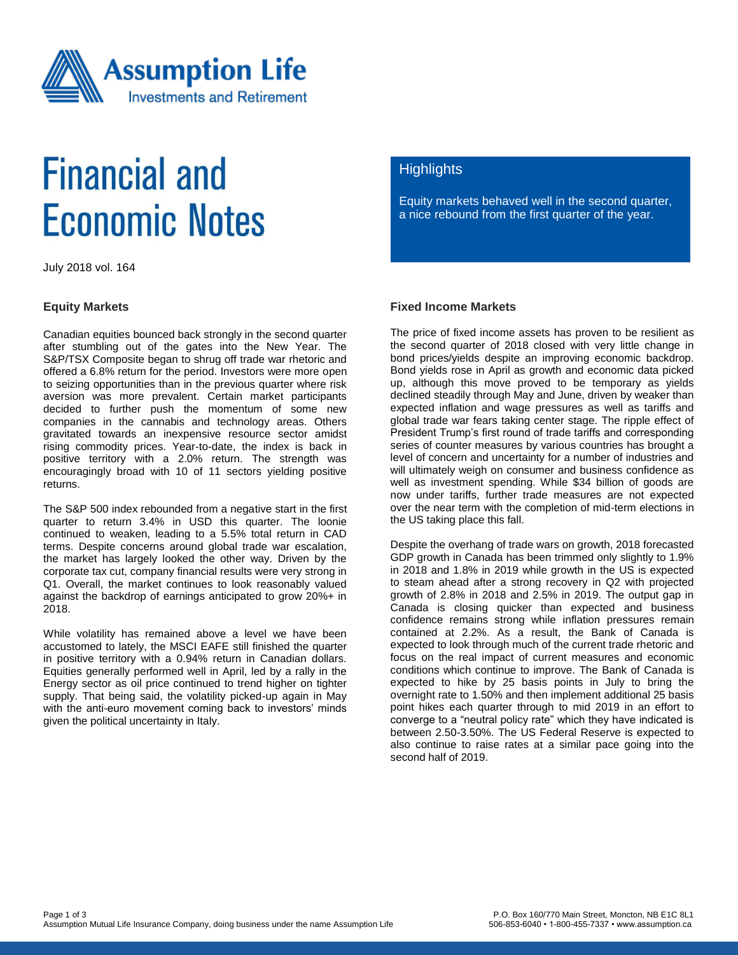

# **Financial and Economic Notes**

July 2018 vol. 164

#### **Equity Markets**

Canadian equities bounced back strongly in the second quarter after stumbling out of the gates into the New Year. The S&P/TSX Composite began to shrug off trade war rhetoric and offered a 6.8% return for the period. Investors were more open to seizing opportunities than in the previous quarter where risk aversion was more prevalent. Certain market participants decided to further push the momentum of some new companies in the cannabis and technology areas. Others gravitated towards an inexpensive resource sector amidst rising commodity prices. Year-to-date, the index is back in positive territory with a 2.0% return. The strength was encouragingly broad with 10 of 11 sectors yielding positive returns.

The S&P 500 index rebounded from a negative start in the first quarter to return 3.4% in USD this quarter. The loonie continued to weaken, leading to a 5.5% total return in CAD terms. Despite concerns around global trade war escalation, the market has largely looked the other way. Driven by the corporate tax cut, company financial results were very strong in Q1. Overall, the market continues to look reasonably valued against the backdrop of earnings anticipated to grow 20%+ in 2018.

While volatility has remained above a level we have been accustomed to lately, the MSCI EAFE still finished the quarter in positive territory with a 0.94% return in Canadian dollars. Equities generally performed well in April, led by a rally in the Energy sector as oil price continued to trend higher on tighter supply. That being said, the volatility picked-up again in May with the anti-euro movement coming back to investors' minds given the political uncertainty in Italy.

### **Highlights**

Equity markets behaved well in the second quarter, a nice rebound from the first quarter of the year.

#### **Fixed Income Markets**

The price of fixed income assets has proven to be resilient as the second quarter of 2018 closed with very little change in bond prices/yields despite an improving economic backdrop. Bond yields rose in April as growth and economic data picked up, although this move proved to be temporary as yields declined steadily through May and June, driven by weaker than expected inflation and wage pressures as well as tariffs and global trade war fears taking center stage. The ripple effect of President Trump's first round of trade tariffs and corresponding series of counter measures by various countries has brought a level of concern and uncertainty for a number of industries and will ultimately weigh on consumer and business confidence as well as investment spending. While \$34 billion of goods are now under tariffs, further trade measures are not expected over the near term with the completion of mid-term elections in the US taking place this fall.

Despite the overhang of trade wars on growth, 2018 forecasted GDP growth in Canada has been trimmed only slightly to 1.9% in 2018 and 1.8% in 2019 while growth in the US is expected to steam ahead after a strong recovery in Q2 with projected growth of 2.8% in 2018 and 2.5% in 2019. The output gap in Canada is closing quicker than expected and business confidence remains strong while inflation pressures remain contained at 2.2%. As a result, the Bank of Canada is expected to look through much of the current trade rhetoric and focus on the real impact of current measures and economic conditions which continue to improve. The Bank of Canada is expected to hike by 25 basis points in July to bring the overnight rate to 1.50% and then implement additional 25 basis point hikes each quarter through to mid 2019 in an effort to converge to a "neutral policy rate" which they have indicated is between 2.50-3.50%. The US Federal Reserve is expected to also continue to raise rates at a similar pace going into the second half of 2019.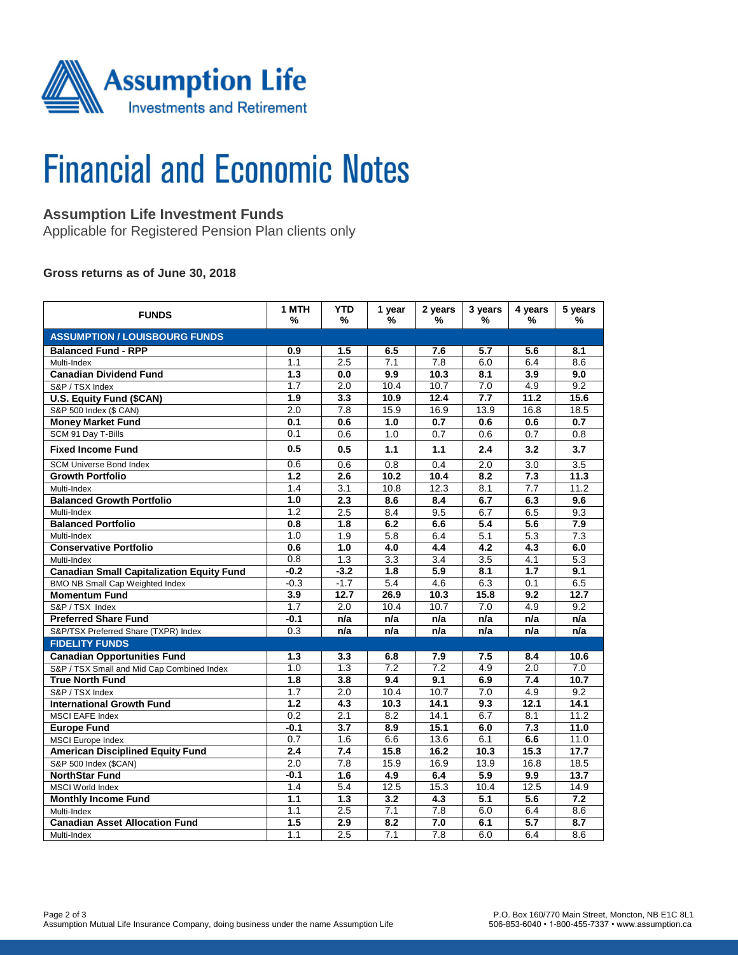

# **Financial and Economic Notes**

# **Assumption Life Investment Funds**

Applicable for Registered Pension Plan clients only

### **Gross returns as of June 30, 2018**

| <b>FUNDS</b>                                     | 1 MTH<br>%       | <b>YTD</b><br>%  | 1 year<br>%      | 2 years<br>%     | 3 years<br>%     | 4 years<br>%     | 5 years<br>%     |  |  |  |  |
|--------------------------------------------------|------------------|------------------|------------------|------------------|------------------|------------------|------------------|--|--|--|--|
| <b>ASSUMPTION / LOUISBOURG FUNDS</b>             |                  |                  |                  |                  |                  |                  |                  |  |  |  |  |
| <b>Balanced Fund - RPP</b>                       | 0.9              | 1.5              | 6.5              | 7.6              | 5.7              | 5.6              | 8.1              |  |  |  |  |
| Multi-Index                                      | 1.1              | 2.5              | 7.1              | $\overline{7.8}$ | 6.0              | 6.4              | 8.6              |  |  |  |  |
| <b>Canadian Dividend Fund</b>                    | 1.3              | 0.0              | 9.9              | 10.3             | 8.1              | $\overline{3.9}$ | 9.0              |  |  |  |  |
| S&P / TSX Index                                  | 1.7              | 2.0              | 10.4             | 10.7             | 7.0              | 4.9              | 9.2              |  |  |  |  |
| U.S. Equity Fund (\$CAN)                         | 1.9              | $\overline{3.3}$ | 10.9             | 12.4             | 7.7              | 11.2             | 15.6             |  |  |  |  |
| S&P 500 Index (\$ CAN)                           | 2.0              | 7.8              | 15.9             | 16.9             | 13.9             | 16.8             | 18.5             |  |  |  |  |
| <b>Money Market Fund</b>                         | 0.1              | 0.6              | 1.0              | 0.7              | 0.6              | 0.6              | 0.7              |  |  |  |  |
| SCM 91 Day T-Bills                               | 0.1              | 0.6              | 1.0              | 0.7              | 0.6              | 0.7              | 0.8              |  |  |  |  |
| <b>Fixed Income Fund</b>                         | 0.5              | 0.5              | 1.1              | 1.1              | 2.4              | 3.2              | 3.7              |  |  |  |  |
| <b>SCM Universe Bond Index</b>                   | 0.6              | 0.6              | 0.8              | 0.4              | $\overline{2.0}$ | $\overline{3.0}$ | $\overline{3.5}$ |  |  |  |  |
| <b>Growth Portfolio</b>                          | $\overline{1.2}$ | 2.6              | 10.2             | 10.4             | 8.2              | 7.3              | 11.3             |  |  |  |  |
| Multi-Index                                      | 1.4              | 3.1              | 10.8             | 12.3             | 8.1              | 7.7              | 11.2             |  |  |  |  |
| <b>Balanced Growth Portfolio</b>                 | 1.0              | $\overline{2.3}$ | 8.6              | 8.4              | 6.7              | 6.3              | 9.6              |  |  |  |  |
| Multi-Index                                      | 1.2              | 2.5              | 8.4              | 9.5              | 6.7              | 6.5              | 9.3              |  |  |  |  |
| <b>Balanced Portfolio</b>                        | 0.8              | 1.8              | 6.2              | 6.6              | 5.4              | 5.6              | 7.9              |  |  |  |  |
| Multi-Index                                      | 1.0              | $\overline{1.9}$ | 5.8              | 6.4              | 5.1              | 5.3              | $\overline{7.3}$ |  |  |  |  |
| <b>Conservative Portfolio</b>                    | 0.6              | 1.0              | $\overline{4.0}$ | $\overline{4.4}$ | $\overline{4.2}$ | $\overline{4.3}$ | 6.0              |  |  |  |  |
| Multi-Index                                      | 0.8              | 1.3              | 3.3              | 3.4              | 3.5              | 4.1              | 5.3              |  |  |  |  |
| <b>Canadian Small Capitalization Equity Fund</b> | $-0.2$           | $-3.2$           | $\overline{1.8}$ | $\overline{5.9}$ | 8.1              | $\overline{1.7}$ | 9.1              |  |  |  |  |
| <b>BMO NB Small Cap Weighted Index</b>           | $-0.3$           | $-1.7$           | 5.4              | 4.6              | 6.3              | 0.1              | 6.5              |  |  |  |  |
| <b>Momentum Fund</b>                             | 3.9              | 12.7             | 26.9             | 10.3             | 15.8             | 9.2              | 12.7             |  |  |  |  |
| S&P / TSX Index                                  | 1.7              | 2.0              | 10.4             | 10.7             | 7.0              | 4.9              | 9.2              |  |  |  |  |
| <b>Preferred Share Fund</b>                      | $-0.1$           | n/a              | n/a              | n/a              | n/a              | n/a              | n/a              |  |  |  |  |
| S&P/TSX Preferred Share (TXPR) Index             | 0.3              | n/a              | n/a              | n/a              | n/a              | n/a              | n/a              |  |  |  |  |
| <b>FIDELITY FUNDS</b>                            |                  |                  |                  |                  |                  |                  |                  |  |  |  |  |
| <b>Canadian Opportunities Fund</b>               | 1.3              | 3.3              | 6.8              | 7.9              | 7.5              | 8.4              | 10.6             |  |  |  |  |
| S&P / TSX Small and Mid Cap Combined Index       | 1.0              | 1.3              | 7.2              | 7.2              | 4.9              | 2.0              | 7.0              |  |  |  |  |
| <b>True North Fund</b>                           | 1.8              | 3.8              | 9.4              | 9.1              | 6.9              | 7.4              | 10.7             |  |  |  |  |
| S&P / TSX Index                                  | 1.7              | $\overline{2.0}$ | 10.4             | 10.7             | 7.0              | 4.9              | 9.2              |  |  |  |  |
| <b>International Growth Fund</b>                 | 1.2              | 4.3              | 10.3             | 14.1             | 9.3              | 12.1             | 14.1             |  |  |  |  |
| <b>MSCI EAFE Index</b>                           | 0.2              | 2.1              | 8.2              | 14.1             | 6.7              | 8.1              | 11.2             |  |  |  |  |
| <b>Europe Fund</b>                               | $-0.1$           | 3.7              | 8.9              | 15.1             | 6.0              | 7.3              | 11.0             |  |  |  |  |
| <b>MSCI</b> Europe Index                         | 0.7              | 1.6              | 6.6              | 13.6             | 6.1              | 6.6              | 11.0             |  |  |  |  |
| <b>American Disciplined Equity Fund</b>          | 2.4              | 7.4              | 15.8             | 16.2             | 10.3             | 15.3             | 17.7             |  |  |  |  |
| S&P 500 Index (\$CAN)                            | 2.0              | 7.8              | 15.9             | 16.9             | 13.9             | 16.8             | 18.5             |  |  |  |  |
| <b>NorthStar Fund</b>                            | $-0.1$           | 1.6              | 4.9              | 6.4              | 5.9              | 9.9              | 13.7             |  |  |  |  |
| <b>MSCI World Index</b>                          | 1.4              | 5.4              | 12.5             | 15.3             | 10.4             | 12.5             | 14.9             |  |  |  |  |
| <b>Monthly Income Fund</b>                       | 1.1              | 1.3              | 3.2              | 4.3              | 5.1              | 5.6              | 7.2              |  |  |  |  |
| Multi-Index                                      | 1.1              | 2.5              | 7.1              | 7.8              | 6.0              | 6.4              | 8.6              |  |  |  |  |
| <b>Canadian Asset Allocation Fund</b>            | 1.5              | 2.9              | 8.2              | 7.0              | 6.1              | 5.7              | 8.7              |  |  |  |  |
| Multi-Index                                      | 1.1              | 2.5              | 7.1              | 7.8              | 6.0              | 6.4              | 8.6              |  |  |  |  |